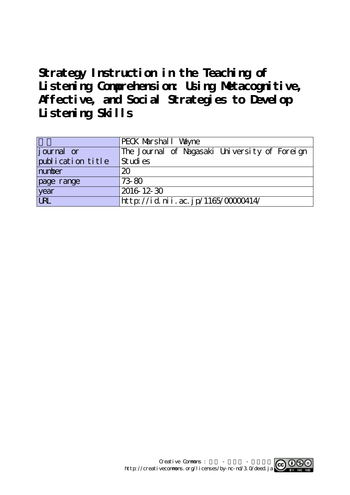# **Strategy Instruction in the Teaching of Listening Comprehension: Using Metacognitive, Affective, and Social Strategies to Develop Listening Skills**

|                   | PECK Marshall Valyne                          |
|-------------------|-----------------------------------------------|
| journal or        | The Journal of Nagasaki University of Foreign |
| publication title | Studies                                       |
| number            | 20                                            |
| page range        | 73-80                                         |
| year              | 2016 12 30                                    |
| URL               | http://id.nii.ac.jp/1165/00000414/            |

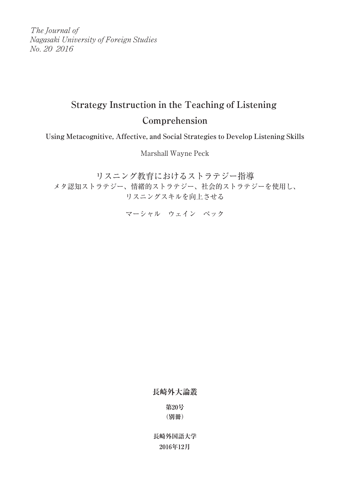The Journal of Nagasaki University of Foreign Studies No. 20 2016

## **Strategy Instruction in the Teaching of Listening Comprehension**

**Using Metacognitive, Affective, and Social Strategies to Develop Listening Skills**

Marshall Wayne Peck

リスニング教育におけるストラテジー指導 メタ認知ストラテジー、情緒的ストラテジー、社会的ストラテジーを使用し、 リスニングスキルを向上させる

マーシャル ウェイン ペック

**長崎外大論叢**

**第20号 (別冊)**

**長崎外国語大学 2016年12月**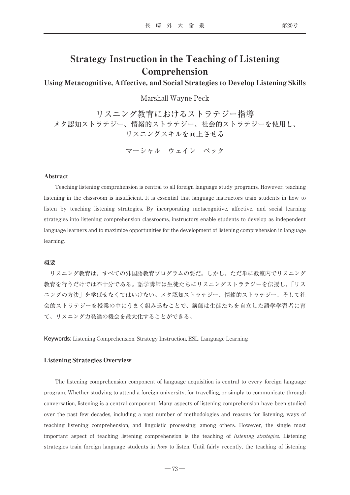### Strategy Instruction in the Teaching of Listening Comprehension

#### Using Metacognitive, Affective, and Social Strategies to Develop Listening Skills

Marshall Wayne Peck

リスニング教育におけるストラテジー指導 メタ認知ストラテジー、情緒的ストラテジー、社会的ストラテジーを使用し、 リスニングスキルを向上させる

マーシャル ウェイン ペック

#### Abstract

Teaching listening comprehension is central to all foreign language study programs. However, teaching listening in the classroom is insufficient. It is essential that language instructors train students in how to listen by teaching listening strategies. By incorporating metacognitive, affective, and social learning strategies into listening comprehension classrooms, instructors enable students to develop as independent language learners and to maximize opportunities for the development of listening comprehension in language learning.

#### **概要**

リスニング教育は、すべての外国語教育プログラムの要だ。しかし、ただ単に教室内でリスニング 教育を行うだけでは不十分である。語学講師は生徒たちにリスニングストラテジーを伝授し、「リス ニングの方法」を学ばせなくてはいけない。メタ認知ストラテジー、情緒的ストラテジー、そして社 会的ストラテジーを授業の中にうまく組み込むことで、講師は生徒たちを自立した語学学習者に育 て、リスニング力発達の機会を最大化することができる。

**Keywords:** Listening Comprehension, Strategy Instruction, ESL, Language Learning

#### Listening Strategies Overview

The listening comprehension component of language acquisition is central to every foreign language program. Whether studying to attend a foreign university, for travelling, or simply to communicate through conversation, listening is a central component. Many aspects of listening comprehension have been studied over the past few decades, including a vast number of methodologies and reasons for listening, ways of teaching listening comprehension, and linguistic processing, among others. However, the single most important aspect of teaching listening comprehension is the teaching of listening strategies. Listening strategies train foreign language students in *how* to listen. Until fairly recently, the teaching of listening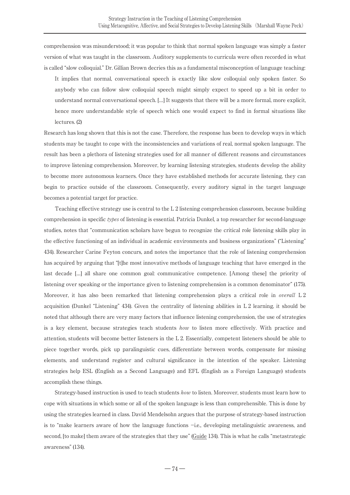comprehension was misunderstood; it was popular to think that normal spoken language was simply a faster version of what was taught in the classroom. Auditory supplements to curricula were often recorded in what is called "slow colloquial." Dr. Gillian Brown decries this as a fundamental misconception of language teaching:

It implies that normal, conversational speech is exactly like slow colloquial only spoken faster. So anybody who can follow slow colloquial speech might simply expect to speed up a bit in order to understand normal conversational speech. […] It suggests that there will be a more formal, more explicit, hence more understandable style of speech which one would expect to find in formal situations like lectures. (2)

Research has long shown that this is not the case. Therefore, the response has been to develop ways in which students may be taught to cope with the inconsistencies and variations of real, normal spoken language. The result has been a plethora of listening strategies used for all manner of different reasons and circumstances to improve listening comprehension. Moreover, by learning listening strategies, students develop the ability to become more autonomous learners. Once they have established methods for accurate listening, they can begin to practice outside of the classroom. Consequently, every auditory signal in the target language becomes a potential target for practice.

Teaching effective strategy use is central to the L 2 listening comprehension classroom, because building comprehension in specific types of listening is essential. Patricia Dunkel, a top researcher for second-language studies, notes that "communication scholars have begun to recognize the critical role listening skills play in the effective functioning of an individual in academic environments and business organizations" ("Listening" 434). Researcher Carine Feyton concurs, and notes the importance that the role of listening comprehension has acquired by arguing that "[t]he most innovative methods of language teaching that have emerged in the last decade […] all share one common goal: communicative competence. [Among these] the priority of listening over speaking or the importance given to listening comprehension is a common denominator" (175). Moreover, it has also been remarked that listening comprehension plays a critical role in *overall* L 2 acquisition (Dunkel "Listening" 434). Given the centrality of listening abilities in L 2 learning, it should be noted that although there are very many factors that influence listening comprehension, the use of strategies is a key element, because strategies teach students *how* to listen more effectively. With practice and attention, students will become better listeners in the L 2. Essentially, competent listeners should be able to piece together words, pick up paralinguistic cues, differentiate between words, compensate for missing elements, and understand register and cultural significance in the intention of the speaker. Listening strategies help ESL (English as a Second Language) and EFL (English as a Foreign Language) students accomplish these things.

Strategy-based instruction is used to teach students how to listen. Moreover, students must learn how to cope with situations in which some or all of the spoken language is less than comprehensible. This is done by using the strategies learned in class. David Mendelsohn argues that the purpose of strategy-based instruction is to "make learners aware of how the language functions -i.e., developing metalinguistic awareness, and second, [to make] them aware of the strategies that they use" (Guide 134). This is what he calls "metastrategic awareness" (134).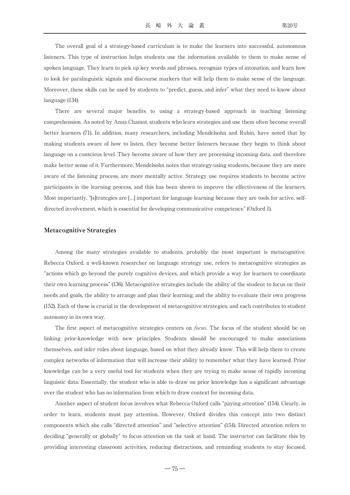The overall goal of a strategy-based curriculum is to make the learners into successful, autonomous listeners. This type of instruction helps students use the information available to them to make sense of spoken language. They learn to pick up key words and phrases, recognize types of intonation, and learn how to look for paralinguistic signals and discourse markers that will help them to make sense of the language. Moreover, these skills can be used by students to "predict, guess, and infer" what they need to know about language (134).

There are several major benefits to using a strategy-based approach in teaching listening comprehension. As noted by Anna Chamot, students who learn strategies and use them often become overall better learners (71). In addition, many researchers, including Mendelsohn and Rubin, have noted that by making students aware of how to listen, they become better listeners because they begin to think about language on a conscious level. They become aware of how they are processing incoming data, and therefore make better sense of it. Furthermore, Mendelsohn notes that strategy-using students, because they are more aware of the listening process, are more mentally active. Strategy use requires students to become active participants in the learning process, and this has been shown to improve the effectiveness of the learners. Most importantly, "[s]trategies are […] important for language learning because they are tools for active, selfdirected involvement, which is essential for developing communicative competence" (Oxford 1).

#### Metacognitive Strategies

Among the many strategies available to students, probably the most important is metacognitive. Rebecca Oxford, a well-known researcher on language strategy use, refers to metacognitive strategies as "actions which go beyond the purely cognitive devices, and which provide a way for learners to coordinate their own learning process" (136). Metacognitive strategies include the ability of the student to focus on their needs and goals, the ability to arrange and plan their learning, and the ability to evaluate their own progress (152). Each of these is crucial in the development of metacognitive strategies, and each contributes to student autonomy in its own way.

The first aspect of metacognitive strategies centers on *focus*. The focus of the student should be on linking prior-knowledge with new principles. Students should be encouraged to make associations themselves, and infer rules about language, based on what they already know. This will help them to create complex networks of information that will increase their ability to remember what they have learned. Prior knowledge can be a very useful tool for students when they are trying to make sense of rapidly incoming linguistic data. Essentially, the student who is able to draw on prior knowledge has a significant advantage over the student who has no information from which to draw context for incoming data.

Another aspect of student focus involves what Rebecca Oxford calls "paying attention" (154). Clearly, in order to learn, students must pay attention. However, Oxford divides this concept into two distinct components which she calls "directed attention" and "selective attention" (154). Directed attention refers to deciding "generally or globally" to focus attention on the task at hand. The instructor can facilitate this by providing interesting classroom activities, reducing distractions, and reminding students to stay focused.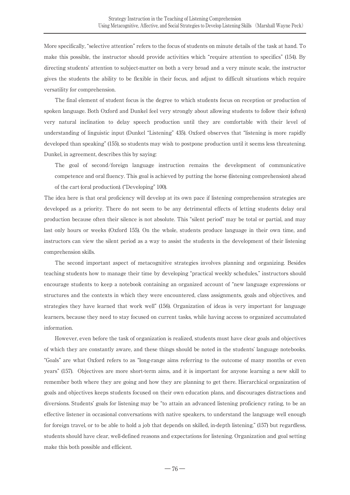More specifically, "selective attention" refers to the focus of students on minute details of the task at hand. To make this possible, the instructor should provide activities which "require attention to specifics" (154). By directing students' attention to subject-matter on both a very broad and a very minute scale, the instructor gives the students the ability to be flexible in their focus, and adjust to difficult situations which require versatility for comprehension.

The final element of student focus is the degree to which students focus on reception or production of spoken language. Both Oxford and Dunkel feel very strongly about allowing students to follow their (often) very natural inclination to delay speech production until they are comfortable with their level of understanding of linguistic input (Dunkel "Listening" 435). Oxford observes that "listening is more rapidly developed than speaking" (155), so students may wish to postpone production until it seems less threatening. Dunkel, in agreement, describes this by saying:

The goal of second/foreign language instruction remains the development of communicative competence and oral fluency. This goal is achieved by putting the horse (listening comprehension) ahead of the cart (oral production). ("Developing" 100).

The idea here is that oral proficiency will develop at its own pace if listening comprehension strategies are developed as a priority. There do not seem to be any detrimental effects of letting students delay oral production because often their silence is not absolute. This "silent period" may be total or partial, and may last only hours or weeks (Oxford 155). On the whole, students produce language in their own time, and instructors can view the silent period as a way to assist the students in the development of their listening comprehension skills.

The second important aspect of metacognitive strategies involves planning and organizing. Besides teaching students how to manage their time by developing "practical weekly schedules," instructors should encourage students to keep a notebook containing an organized account of "new language expressions or structures and the contexts in which they were encountered, class assignments, goals and objectives, and strategies they have learned that work well" (156). Organization of ideas is very important for language learners, because they need to stay focused on current tasks, while having access to organized accumulated information.

However, even before the task of organization is realized, students must have clear goals and objectives of which they are constantly aware, and these things should be noted in the students' language notebooks. "Goals" are what Oxford refers to as "long-range aims referring to the outcome of many months or even years" (157). Objectives are more short-term aims, and it is important for anyone learning a new skill to remember both where they are going and how they are planning to get there. Hierarchical organization of goals and objectives keeps students focused on their own education plans, and discourages distractions and diversions. Students' goals for listening may be "to attain an advanced listening proficiency rating, to be an effective listener in occasional conversations with native speakers, to understand the language well enough for foreign travel, or to be able to hold a job that depends on skilled, in-depth listening," (157) but regardless, students should have clear, well-defined reasons and expectations for listening. Organization and goal setting make this both possible and efficient.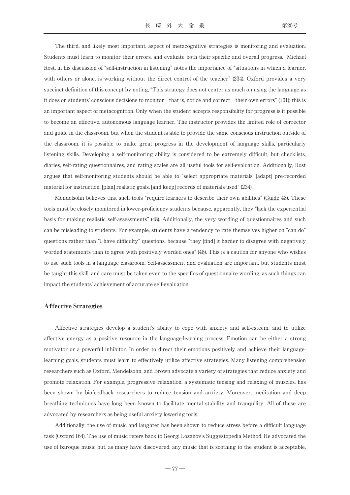The third, and likely most important, aspect of metacognitive strategies is monitoring and evaluation. Students must learn to monitor their errors, and evaluate both their specific and overall progress. Michael Rost, in his discussion of "self-instruction in listening" notes the importance of "situations in which a learner, with others or alone, is working without the direct control of the teacher" (234). Oxford provides a very succinct definition of this concept by noting, "This strategy does not center as much on using the language as it does on students' conscious decisions to monitor -that is, notice and correct -their own errors" (161); this is an important aspect of metacognition. Only when the student accepts responsibility for progress is it possible to become an effective, autonomous language learner. The instructor provides the limited role of corrector and guide in the classroom, but when the student is able to provide the same conscious instruction outside of the classroom, it is possible to make great progress in the development of language skills, particularly listening skills. Developing a self-monitoring ability is considered to be extremely difficult, but checklists, diaries, self-rating questionnaires, and rating scales are all useful tools for self-evaluation. Additionally, Rost argues that self-monitoring students should be able to "select appropriate materials, [adapt] pre-recorded material for instruction, [plan] realistic goals, [and keep] records of materials used" (234).

Mendelsohn believes that such tools "require learners to describe their own abilities" (Guide 48). These tools must be closely monitored in lower-proficiency students because, apparently, they "lack the experiential basis for making realistic self-assessments" (48). Additionally, the very wording of questionnaires and such can be misleading to students. For example, students have a tendency to rate themselves higher on "can do" questions rather than "I have difficulty" questions, because "they [find] it harder to disagree with negatively worded statements than to agree with positively worded ones" (48). This is a caution for anyone who wishes to use such tools in a language classroom. Self-assessment and evaluation are important, but students must be taught this skill, and care must be taken even to the specifics of questionnaire wording, as such things can impact the students' achievement of accurate self-evaluation.

#### Affective Strategies

Affective strategies develop a student's ability to cope with anxiety and self-esteem, and to utilize affective energy as a positive resource in the language-learning process. Emotion can be either a strong motivator or a powerful inhibitor. In order to direct their emotions positively and achieve their languagelearning goals, students must learn to effectively utilize affective strategies. Many listening comprehension researchers such as Oxford, Mendelsohn, and Brown advocate a variety of strategies that reduce anxiety and promote relaxation. For example, progressive relaxation, a systematic tensing and relaxing of muscles, has been shown by biofeedback researchers to reduce tension and anxiety. Moreover, meditation and deep breathing techniques have long been known to facilitate mental stability and tranquility. All of these are advocated by researchers as being useful anxiety lowering tools.

Additionally, the use of music and laughter has been shown to reduce stress before a difficult language task (Oxford 164). The use of music refers back to Georgi Lozanov's Suggestopedia Method. He advocated the use of baroque music but, as many have discovered, any music that is soothing to the student is acceptable,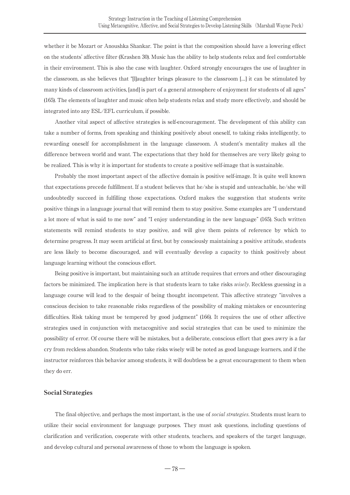whether it be Mozart or Anoushka Shankar. The point is that the composition should have a lowering effect on the students' affective filter (Krashen 30). Music has the ability to help students relax and feel comfortable in their environment. This is also the case with laughter. Oxford strongly encourages the use of laughter in the classroom, as she believes that "[l]aughter brings pleasure to the classroom […] it can be stimulated by many kinds of classroom activities, [and] is part of a general atmosphere of enjoyment for students of all ages" (165). The elements of laughter and music often help students relax and study more effectively, and should be integrated into any ESL/EFL curriculum, if possible.

Another vital aspect of affective strategies is self-encouragement. The development of this ability can take a number of forms, from speaking and thinking positively about oneself, to taking risks intelligently, to rewarding oneself for accomplishment in the language classroom. A student's mentality makes all the difference between world and want. The expectations that they hold for themselves are very likely going to be realized. This is why it is important for students to create a positive self-image that is sustainable.

Probably the most important aspect of the affective domain is positive self-image. It is quite well known that expectations precede fulfillment. If a student believes that he/she is stupid and unteachable, he/she will undoubtedly succeed in fulfilling those expectations. Oxford makes the suggestion that students write positive things in a language journal that will remind them to stay positive. Some examples are "I understand a lot more of what is said to me now" and "I enjoy understanding in the new language" (165). Such written statements will remind students to stay positive, and will give them points of reference by which to determine progress. It may seem artificial at first, but by consciously maintaining a positive attitude, students are less likely to become discouraged, and will eventually develop a capacity to think positively about language learning without the conscious effort.

Being positive is important, but maintaining such an attitude requires that errors and other discouraging factors be minimized. The implication here is that students learn to take risks *wisely*. Reckless guessing in a language course will lead to the despair of being thought incompetent. This affective strategy "involves a conscious decision to take reasonable risks regardless of the possibility of making mistakes or encountering difficulties. Risk taking must be tempered by good judgment" (166). It requires the use of other affective strategies used in conjunction with metacognitive and social strategies that can be used to minimize the possibility of error. Of course there will be mistakes, but a deliberate, conscious effort that goes awry is a far cry from reckless abandon. Students who take risks wisely will be noted as good language learners, and if the instructor reinforces this behavior among students, it will doubtless be a great encouragement to them when they do err.

#### Social Strategies

The final objective, and perhaps the most important, is the use of *social strategies*. Students must learn to utilize their social environment for language purposes. They must ask questions, including questions of clarification and verification, cooperate with other students, teachers, and speakers of the target language, and develop cultural and personal awareness of those to whom the language is spoken.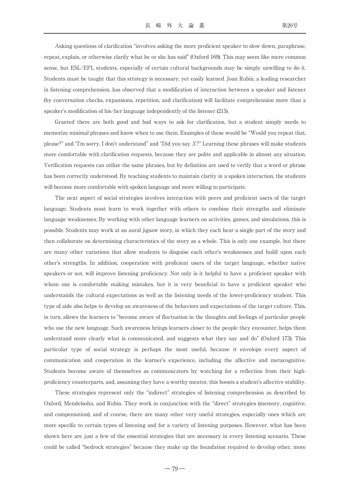Asking questions of clarification "involves asking the more proficient speaker to slow down, paraphrase, repeat, explain, or otherwise clarify what he or she has said" (Oxford 169). This may seem like mere common sense, but ESL/EFL students, especially of certain cultural backgrounds may be simply unwilling to do it. Students must be taught that this strategy is necessary, yet easily learned. Joan Rubin, a leading researcher in listening comprehension, has observed that a modification of interaction between a speaker and listener (by conversation checks, expansions, repetition, and clarification) will facilitate comprehension more than a speaker's modification of his/her language independently of the listener (215).

Granted there are both good and bad ways to ask for clarification, but a student simply needs to memorize minimal phrases and know when to use them. Examples of these would be "Would you repeat that, please?" and "I'm sorry, I don't understand" and "Did you say  $X$ ?" Learning these phrases will make students more comfortable with clarification requests, because they are polite and applicable in almost any situation. Verification requests can utilize the same phrases, but by definition are used to verify that a word or phrase has been correctly understood. By teaching students to maintain clarity in a spoken interaction, the students will become more comfortable with spoken language and more willing to participate.

The next aspect of social strategies involves interaction with peers and proficient users of the target language. Students must learn to work together with others to combine their strengths and eliminate language weaknesses. By working with other language learners on activities, games, and simulations, this is possible. Students may work at an aural jigsaw story, in which they each hear a single part of the story and then collaborate on determining characteristics of the story as a whole. This is only one example, but there are many other variations that allow students to disguise each other's weaknesses and build upon each other's strengths. In addition, cooperation with proficient users of the target language, whether native speakers or not, will improve listening proficiency. Not only is it helpful to have a proficient speaker with whom one is comfortable making mistakes, but it is very beneficial to have a proficient speaker who understands the cultural expectations as well as the listening needs of the lower-proficiency student. This type of aide also helps to develop an awareness of the behaviors and expectations of the target culture. This, in turn, allows the learners to "become aware of fluctuation in the thoughts and feelings of particular people who use the new language. Such awareness brings learners closer to the people they encounter, helps them understand more clearly what is communicated, and suggests what they say and do" (Oxford 173). This particular type of social strategy is perhaps the most useful, because it envelops every aspect of communication and cooperation in the learner's experience, including the affective and metacognitive. Students become aware of themselves as communicators by watching for a reflection from their highproficiency counterparts, and, assuming they have a worthy mentor, this boosts a student's affective stability.

These strategies represent only the "indirect" strategies of listening comprehension as described by Oxford, Mendelsohn, and Rubin. They work in conjunction with the "direct" strategies (memory, cognitive, and compensation), and of course, there are many other very useful strategies, especially ones which are more specific to certain types of listening and for a variety of listening purposes. However, what has been shown here are just a few of the essential strategies that are necessary in every listening scenario. These could be called "bedrock strategies" because they make up the foundation required to develop other, more